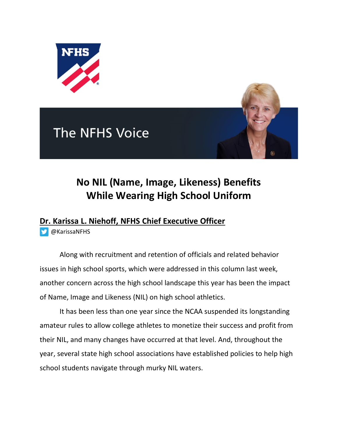





## **No NIL (Name, Image, Likeness) Benefits While Wearing High School Uniform**

## **Dr. Karissa L. Niehoff, NFHS Chief Executive Officer**

[@KarissaNFHS](https://twitter.com/KarissaNFHS)

Along with recruitment and retention of officials and related behavior issues in high school sports, which were addressed in this column last week, another concern across the high school landscape this year has been the impact of Name, Image and Likeness (NIL) on high school athletics.

It has been less than one year since the NCAA suspended its longstanding amateur rules to allow college athletes to monetize their success and profit from their NIL, and many changes have occurred at that level. And, throughout the year, several state high school associations have established policies to help high school students navigate through murky NIL waters.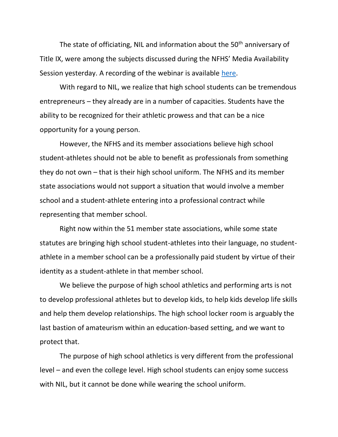The state of officiating, NIL and information about the  $50<sup>th</sup>$  anniversary of Title IX, were among the subjects discussed during the NFHS' Media Availability Session yesterday. A recording of the webinar is available [here.](https://www.youtube.com/watch?v=p8eQ9viPZrI)

With regard to NIL, we realize that high school students can be tremendous entrepreneurs – they already are in a number of capacities. Students have the ability to be recognized for their athletic prowess and that can be a nice opportunity for a young person.

However, the NFHS and its member associations believe high school student-athletes should not be able to benefit as professionals from something they do not own – that is their high school uniform. The NFHS and its member state associations would not support a situation that would involve a member school and a student-athlete entering into a professional contract while representing that member school.

Right now within the 51 member state associations, while some state statutes are bringing high school student-athletes into their language, no studentathlete in a member school can be a professionally paid student by virtue of their identity as a student-athlete in that member school.

We believe the purpose of high school athletics and performing arts is not to develop professional athletes but to develop kids, to help kids develop life skills and help them develop relationships. The high school locker room is arguably the last bastion of amateurism within an education-based setting, and we want to protect that.

The purpose of high school athletics is very different from the professional level – and even the college level. High school students can enjoy some success with NIL, but it cannot be done while wearing the school uniform.